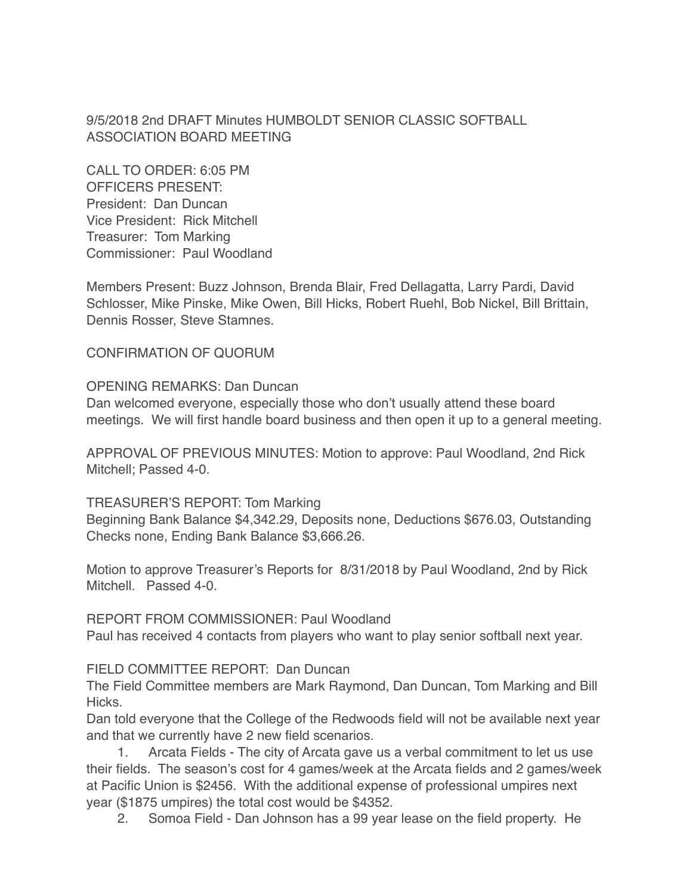9/5/2018 2nd DRAFT Minutes HUMBOLDT SENIOR CLASSIC SOFTBALL ASSOCIATION BOARD MEETING

CALL TO ORDER: 6:05 PM OFFICERS PRESENT: President: Dan Duncan Vice President: Rick Mitchell Treasurer: Tom Marking Commissioner: Paul Woodland

Members Present: Buzz Johnson, Brenda Blair, Fred Dellagatta, Larry Pardi, David Schlosser, Mike Pinske, Mike Owen, Bill Hicks, Robert Ruehl, Bob Nickel, Bill Brittain, Dennis Rosser, Steve Stamnes.

CONFIRMATION OF QUORUM

OPENING REMARKS: Dan Duncan Dan welcomed everyone, especially those who don't usually attend these board meetings. We will first handle board business and then open it up to a general meeting.

APPROVAL OF PREVIOUS MINUTES: Motion to approve: Paul Woodland, 2nd Rick Mitchell; Passed 4-0.

TREASURER'S REPORT: Tom Marking Beginning Bank Balance \$4,342.29, Deposits none, Deductions \$676.03, Outstanding Checks none, Ending Bank Balance \$3,666.26.

Motion to approve Treasurer's Reports for 8/31/2018 by Paul Woodland, 2nd by Rick Mitchell. Passed 4-0.

REPORT FROM COMMISSIONER: Paul Woodland Paul has received 4 contacts from players who want to play senior softball next year.

## FIELD COMMITTEE REPORT: Dan Duncan

The Field Committee members are Mark Raymond, Dan Duncan, Tom Marking and Bill Hicks.

Dan told everyone that the College of the Redwoods field will not be available next year and that we currently have 2 new field scenarios.

1. Arcata Fields - The city of Arcata gave us a verbal commitment to let us use their fields. The season's cost for 4 games/week at the Arcata fields and 2 games/week at Pacific Union is \$2456. With the additional expense of professional umpires next year (\$1875 umpires) the total cost would be \$4352.

2. Somoa Field - Dan Johnson has a 99 year lease on the field property. He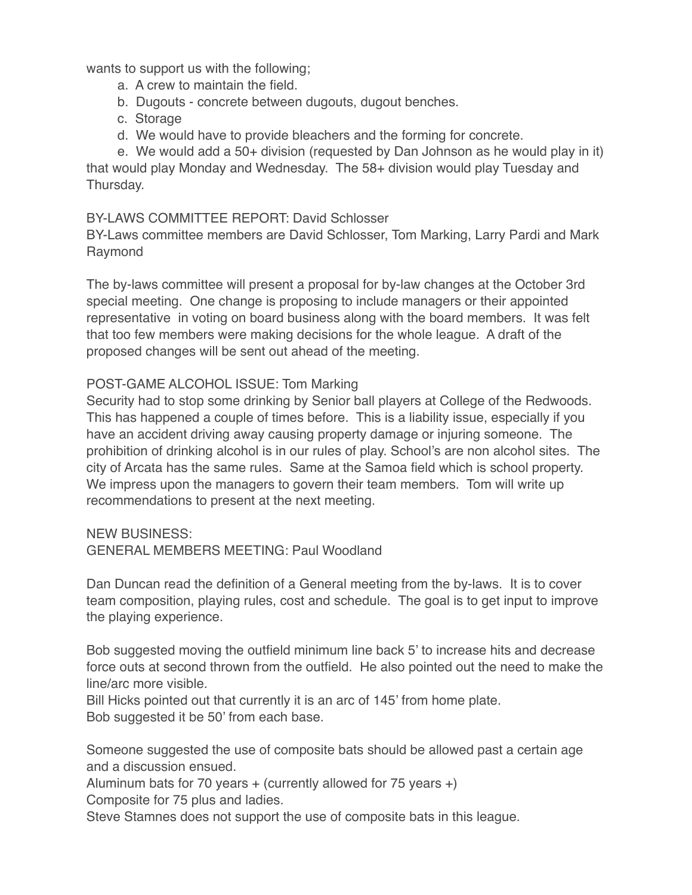wants to support us with the following;

- a. A crew to maintain the field.
- b. Dugouts concrete between dugouts, dugout benches.
- c. Storage
- d. We would have to provide bleachers and the forming for concrete.

e. We would add a 50+ division (requested by Dan Johnson as he would play in it) that would play Monday and Wednesday. The 58+ division would play Tuesday and Thursday.

## BY-LAWS COMMITTEE REPORT: David Schlosser

BY-Laws committee members are David Schlosser, Tom Marking, Larry Pardi and Mark Raymond

The by-laws committee will present a proposal for by-law changes at the October 3rd special meeting. One change is proposing to include managers or their appointed representative in voting on board business along with the board members. It was felt that too few members were making decisions for the whole league. A draft of the proposed changes will be sent out ahead of the meeting.

## POST-GAME ALCOHOL ISSUE: Tom Marking

Security had to stop some drinking by Senior ball players at College of the Redwoods. This has happened a couple of times before. This is a liability issue, especially if you have an accident driving away causing property damage or injuring someone. The prohibition of drinking alcohol is in our rules of play. School's are non alcohol sites. The city of Arcata has the same rules. Same at the Samoa field which is school property. We impress upon the managers to govern their team members. Tom will write up recommendations to present at the next meeting.

NEW BUSINESS: GENERAL MEMBERS MEETING: Paul Woodland

Dan Duncan read the definition of a General meeting from the by-laws. It is to cover team composition, playing rules, cost and schedule. The goal is to get input to improve the playing experience.

Bob suggested moving the outfield minimum line back 5' to increase hits and decrease force outs at second thrown from the outfield. He also pointed out the need to make the line/arc more visible.

Bill Hicks pointed out that currently it is an arc of 145' from home plate. Bob suggested it be 50' from each base.

Someone suggested the use of composite bats should be allowed past a certain age and a discussion ensued.

Aluminum bats for 70 years  $+$  (currently allowed for 75 years  $+$ ) Composite for 75 plus and ladies.

Steve Stamnes does not support the use of composite bats in this league.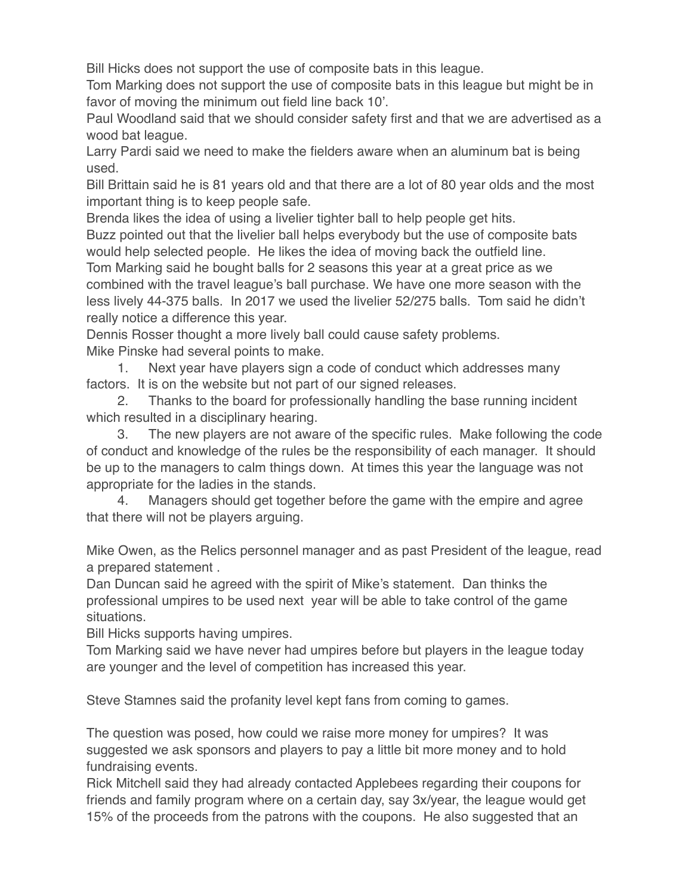Bill Hicks does not support the use of composite bats in this league.

Tom Marking does not support the use of composite bats in this league but might be in favor of moving the minimum out field line back 10'.

Paul Woodland said that we should consider safety first and that we are advertised as a wood bat league.

Larry Pardi said we need to make the fielders aware when an aluminum bat is being used.

Bill Brittain said he is 81 years old and that there are a lot of 80 year olds and the most important thing is to keep people safe.

Brenda likes the idea of using a livelier tighter ball to help people get hits.

Buzz pointed out that the livelier ball helps everybody but the use of composite bats would help selected people. He likes the idea of moving back the outfield line.

Tom Marking said he bought balls for 2 seasons this year at a great price as we combined with the travel league's ball purchase. We have one more season with the less lively 44-375 balls. In 2017 we used the livelier 52/275 balls. Tom said he didn't really notice a difference this year.

Dennis Rosser thought a more lively ball could cause safety problems. Mike Pinske had several points to make.

1. Next year have players sign a code of conduct which addresses many factors. It is on the website but not part of our signed releases.

2. Thanks to the board for professionally handling the base running incident which resulted in a disciplinary hearing.

3. The new players are not aware of the specific rules. Make following the code of conduct and knowledge of the rules be the responsibility of each manager. It should be up to the managers to calm things down. At times this year the language was not appropriate for the ladies in the stands.

4. Managers should get together before the game with the empire and agree that there will not be players arguing.

Mike Owen, as the Relics personnel manager and as past President of the league, read a prepared statement .

Dan Duncan said he agreed with the spirit of Mike's statement. Dan thinks the professional umpires to be used next year will be able to take control of the game situations.

Bill Hicks supports having umpires.

Tom Marking said we have never had umpires before but players in the league today are younger and the level of competition has increased this year.

Steve Stamnes said the profanity level kept fans from coming to games.

The question was posed, how could we raise more money for umpires? It was suggested we ask sponsors and players to pay a little bit more money and to hold fundraising events.

Rick Mitchell said they had already contacted Applebees regarding their coupons for friends and family program where on a certain day, say 3x/year, the league would get 15% of the proceeds from the patrons with the coupons. He also suggested that an